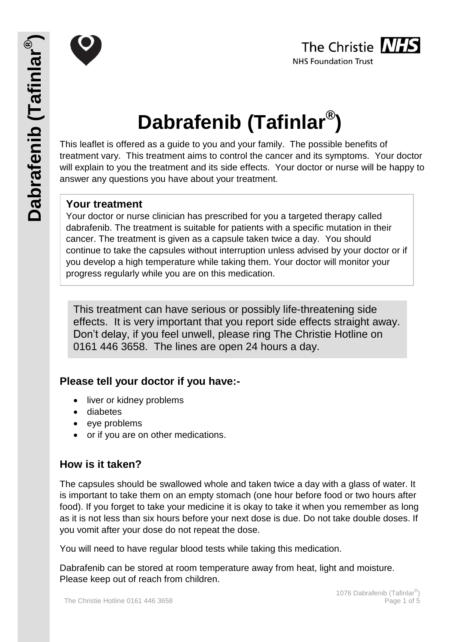



# **Dabrafenib (Tafinlar® )**

This leaflet is offered as a guide to you and your family. The possible benefits of treatment vary. This treatment aims to control the cancer and its symptoms. Your doctor will explain to you the treatment and its side effects. Your doctor or nurse will be happy to answer any questions you have about your treatment.

## **Your treatment**

Your doctor or nurse clinician has prescribed for you a targeted therapy called dabrafenib. The treatment is suitable for patients with a specific mutation in their cancer. The treatment is given as a capsule taken twice a day. You should continue to take the capsules without interruption unless advised by your doctor or if you develop a high temperature while taking them. Your doctor will monitor your progress regularly while you are on this medication.

This treatment can have serious or possibly life-threatening side effects. It is very important that you report side effects straight away. Don't delay, if you feel unwell, please ring The Christie Hotline on 0161 446 3658. The lines are open 24 hours a day.

## **Please tell your doctor if you have:-**

- liver or kidney problems
- diabetes
- eye problems
- or if you are on other medications.

# **How is it taken?**

The capsules should be swallowed whole and taken twice a day with a glass of water. It is important to take them on an empty stomach (one hour before food or two hours after food). If you forget to take your medicine it is okay to take it when you remember as long as it is not less than six hours before your next dose is due. Do not take double doses. If you vomit after your dose do not repeat the dose.

You will need to have regular blood tests while taking this medication.

Dabrafenib can be stored at room temperature away from heat, light and moisture. Please keep out of reach from children.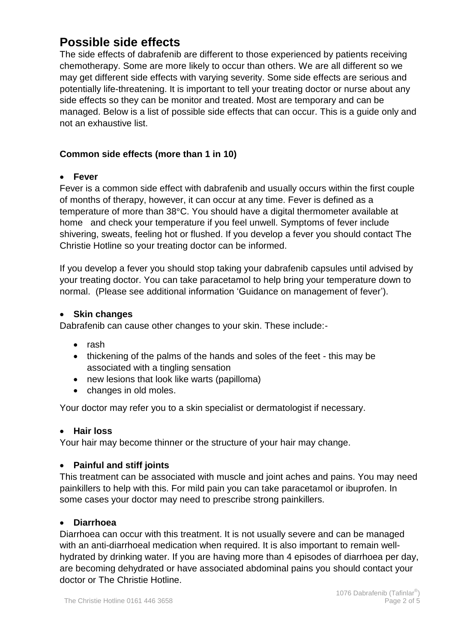# **Possible side effects**

The side effects of dabrafenib are different to those experienced by patients receiving chemotherapy. Some are more likely to occur than others. We are all different so we may get different side effects with varying severity. Some side effects are serious and potentially life-threatening. It is important to tell your treating doctor or nurse about any side effects so they can be monitor and treated. Most are temporary and can be managed. Below is a list of possible side effects that can occur. This is a guide only and not an exhaustive list.

#### **Common side effects (more than 1 in 10)**

#### **Fever**

Fever is a common side effect with dabrafenib and usually occurs within the first couple of months of therapy, however, it can occur at any time. Fever is defined as a temperature of more than 38°C. You should have a digital thermometer available at home and check your temperature if you feel unwell. Symptoms of fever include shivering, sweats, feeling hot or flushed. If you develop a fever you should contact The Christie Hotline so your treating doctor can be informed.

If you develop a fever you should stop taking your dabrafenib capsules until advised by your treating doctor. You can take paracetamol to help bring your temperature down to normal. (Please see additional information 'Guidance on management of fever').

#### **Skin changes**

Dabrafenib can cause other changes to your skin. These include:-

- $\bullet$  rash
- thickening of the palms of the hands and soles of the feet this may be associated with a tingling sensation
- new lesions that look like warts (papilloma)
- changes in old moles.

Your doctor may refer you to a skin specialist or dermatologist if necessary.

#### **Hair loss**

Your hair may become thinner or the structure of your hair may change.

#### **Painful and stiff joints**

This treatment can be associated with muscle and joint aches and pains. You may need painkillers to help with this. For mild pain you can take paracetamol or ibuprofen. In some cases your doctor may need to prescribe strong painkillers.

#### **Diarrhoea**

Diarrhoea can occur with this treatment. It is not usually severe and can be managed with an anti-diarrhoeal medication when required. It is also important to remain wellhydrated by drinking water. If you are having more than 4 episodes of diarrhoea per day, are becoming dehydrated or have associated abdominal pains you should contact your doctor or The Christie Hotline.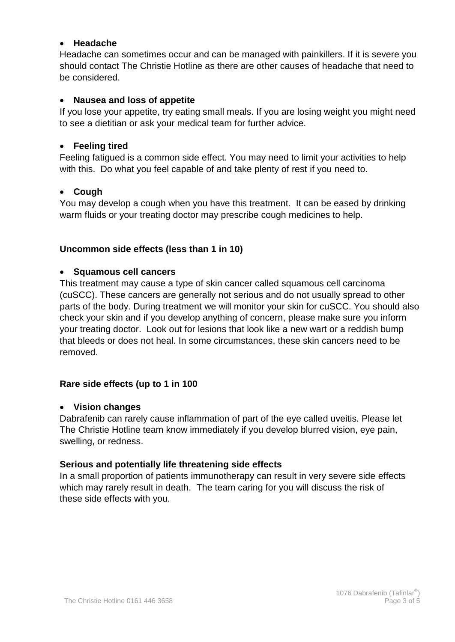#### **Headache**

Headache can sometimes occur and can be managed with painkillers. If it is severe you should contact The Christie Hotline as there are other causes of headache that need to be considered.

#### **Nausea and loss of appetite**

If you lose your appetite, try eating small meals. If you are losing weight you might need to see a dietitian or ask your medical team for further advice.

#### **Feeling tired**

Feeling fatigued is a common side effect. You may need to limit your activities to help with this. Do what you feel capable of and take plenty of rest if you need to.

#### **Cough**

You may develop a cough when you have this treatment. It can be eased by drinking warm fluids or your treating doctor may prescribe cough medicines to help.

#### **Uncommon side effects (less than 1 in 10)**

#### **Squamous cell cancers**

This treatment may cause a type of skin cancer called squamous cell carcinoma (cuSCC). These cancers are generally not serious and do not usually spread to other parts of the body. During treatment we will monitor your skin for cuSCC. You should also check your skin and if you develop anything of concern, please make sure you inform your treating doctor. Look out for lesions that look like a new wart or a reddish bump that bleeds or does not heal. In some circumstances, these skin cancers need to be removed.

#### **Rare side effects (up to 1 in 100**

#### **Vision changes**

Dabrafenib can rarely cause inflammation of part of the eye called uveitis. Please let The Christie Hotline team know immediately if you develop blurred vision, eye pain, swelling, or redness.

#### **Serious and potentially life threatening side effects**

In a small proportion of patients immunotherapy can result in very severe side effects which may rarely result in death. The team caring for you will discuss the risk of these side effects with you.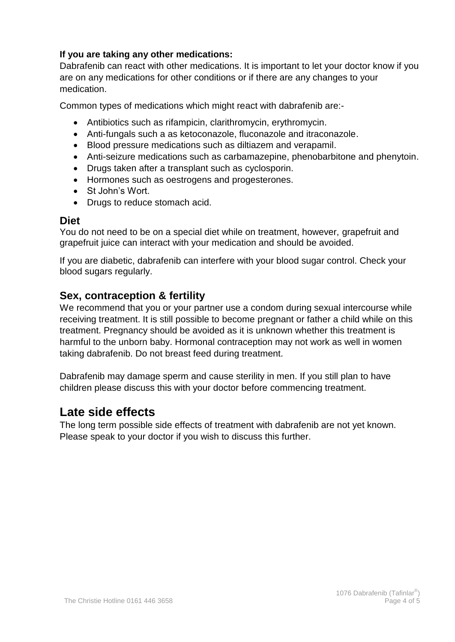#### **If you are taking any other medications:**

Dabrafenib can react with other medications. It is important to let your doctor know if you are on any medications for other conditions or if there are any changes to your medication.

Common types of medications which might react with dabrafenib are:-

- Antibiotics such as rifampicin, clarithromycin, erythromycin.
- Anti-fungals such a as ketoconazole, fluconazole and itraconazole.
- Blood pressure medications such as diltiazem and verapamil.
- Anti-seizure medications such as carbamazepine, phenobarbitone and phenytoin.
- Drugs taken after a transplant such as cyclosporin.
- Hormones such as oestrogens and progesterones.
- St John's Wort.
- Drugs to reduce stomach acid.

#### **Diet**

You do not need to be on a special diet while on treatment, however, grapefruit and grapefruit juice can interact with your medication and should be avoided.

If you are diabetic, dabrafenib can interfere with your blood sugar control. Check your blood sugars regularly.

## **Sex, contraception & fertility**

We recommend that you or your partner use a condom during sexual intercourse while receiving treatment. It is still possible to become pregnant or father a child while on this treatment. Pregnancy should be avoided as it is unknown whether this treatment is harmful to the unborn baby. Hormonal contraception may not work as well in women taking dabrafenib. Do not breast feed during treatment.

Dabrafenib may damage sperm and cause sterility in men. If you still plan to have children please discuss this with your doctor before commencing treatment.

# **Late side effects**

The long term possible side effects of treatment with dabrafenib are not yet known. Please speak to your doctor if you wish to discuss this further.